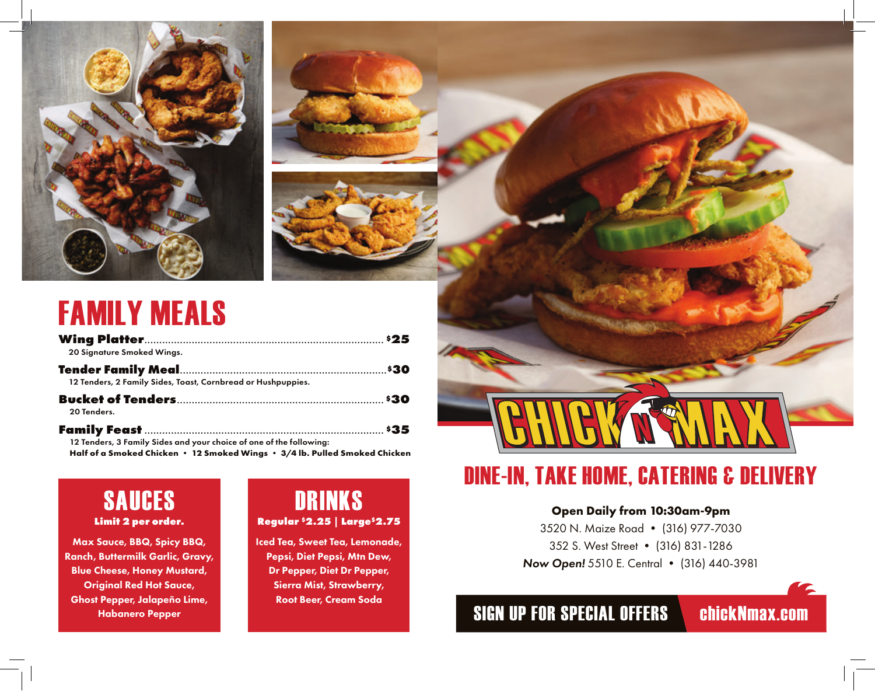

## FAMILY MEALS

| 20 Signature Smoked Wings.                                                 |  |
|----------------------------------------------------------------------------|--|
|                                                                            |  |
| 12 Tenders, 2 Family Sides, Toast, Cornbread or Hushpuppies.               |  |
|                                                                            |  |
| 20 Tenders.                                                                |  |
|                                                                            |  |
| 12 Tenders, 3 Family Sides and your choice of one of the following:        |  |
| Half of a Smoked Chicken • 12 Smoked Wings • 3/4 lb. Pulled Smoked Chicken |  |

SAUCES **Limit 2 per order.**

Max Sauce, BBQ, Spicy BBQ, Ranch, Buttermilk Garlic, Gravy, Blue Cheese, Honey Mustard, Original Red Hot Sauce, Ghost Pepper, Jalapeño Lime, Habanero Pepper

#### DRINKS **Regular \$2.25 | Large\$2.75**

Iced Tea, Sweet Tea, Lemonade, Pepsi, Diet Pepsi, Mtn Dew, Dr Pepper, Diet Dr Pepper, Sierra Mist, Strawberry, Root Beer, Cream Soda

### DINE-IN, TAKE HOME, CATERING & DELIVERY

#### **Open Daily from 10:30am-9pm**

3520 N. Maize Road • (316) 977-7030 352 S. West Street • (316) 831-1286 *Now Open!* 5510 E. Central • (316) 440-3981

### SIGN UP FOR SPECIAL OFFERS chickNmax.com